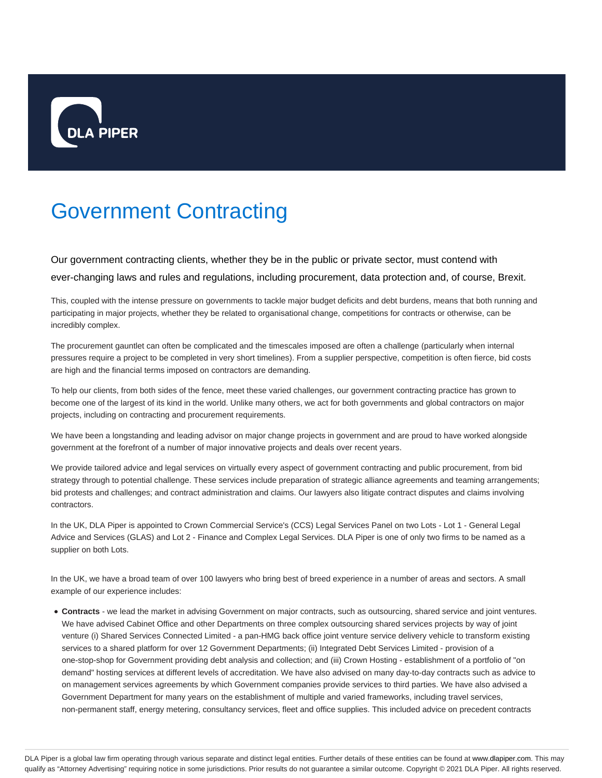

# Government Contracting

Our government contracting clients, whether they be in the public or private sector, must contend with ever-changing laws and rules and regulations, including procurement, data protection and, of course, Brexit.

This, coupled with the intense pressure on governments to tackle major budget deficits and debt burdens, means that both running and participating in major projects, whether they be related to organisational change, competitions for contracts or otherwise, can be incredibly complex.

The procurement gauntlet can often be complicated and the timescales imposed are often a challenge (particularly when internal pressures require a project to be completed in very short timelines). From a supplier perspective, competition is often fierce, bid costs are high and the financial terms imposed on contractors are demanding.

To help our clients, from both sides of the fence, meet these varied challenges, our government contracting practice has grown to become one of the largest of its kind in the world. Unlike many others, we act for both governments and global contractors on major projects, including on contracting and procurement requirements.

We have been a longstanding and leading advisor on major change projects in government and are proud to have worked alongside government at the forefront of a number of major innovative projects and deals over recent years.

We provide tailored advice and legal services on virtually every aspect of government contracting and public procurement, from bid strategy through to potential challenge. These services include preparation of strategic alliance agreements and teaming arrangements; bid protests and challenges; and contract administration and claims. Our lawyers also litigate contract disputes and claims involving contractors.

In the UK, DLA Piper is appointed to Crown Commercial Service's (CCS) Legal Services Panel on two Lots - Lot 1 - General Legal Advice and Services (GLAS) and Lot 2 - Finance and Complex Legal Services. DLA Piper is one of only two firms to be named as a supplier on both Lots.

In the UK, we have a broad team of over 100 lawyers who bring best of breed experience in a number of areas and sectors. A small example of our experience includes:

**Contracts** - we lead the market in advising Government on major contracts, such as outsourcing, shared service and joint ventures. We have advised Cabinet Office and other Departments on three complex outsourcing shared services projects by way of joint venture (i) Shared Services Connected Limited - a pan-HMG back office joint venture service delivery vehicle to transform existing services to a shared platform for over 12 Government Departments; (ii) Integrated Debt Services Limited - provision of a one-stop-shop for Government providing debt analysis and collection; and (iii) Crown Hosting - establishment of a portfolio of "on demand" hosting services at different levels of accreditation. We have also advised on many day-to-day contracts such as advice to on management services agreements by which Government companies provide services to third parties. We have also advised a Government Department for many years on the establishment of multiple and varied frameworks, including travel services, non-permanent staff, energy metering, consultancy services, fleet and office supplies. This included advice on precedent contracts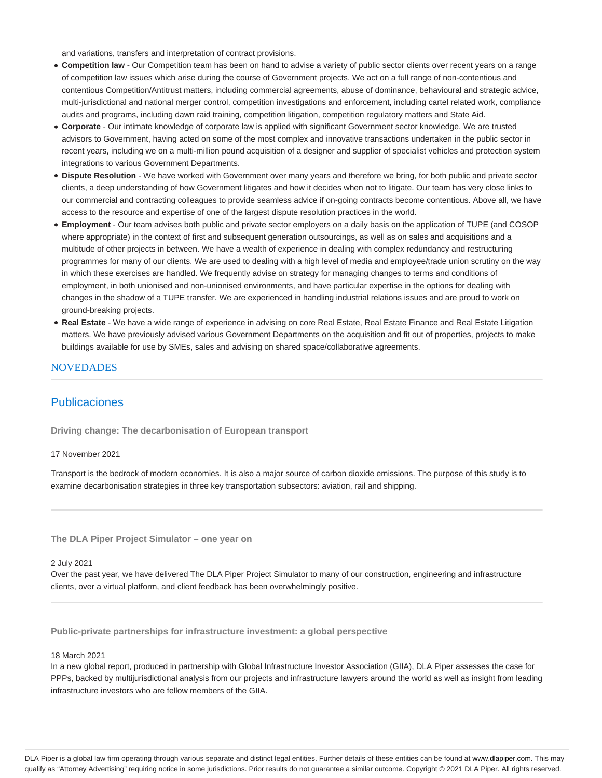and variations, transfers and interpretation of contract provisions.

- **Competition law** Our Competition team has been on hand to advise a variety of public sector clients over recent years on a range of competition law issues which arise during the course of Government projects. We act on a full range of non-contentious and contentious Competition/Antitrust matters, including commercial agreements, abuse of dominance, behavioural and strategic advice, multi-jurisdictional and national merger control, competition investigations and enforcement, including cartel related work, compliance audits and programs, including dawn raid training, competition litigation, competition regulatory matters and State Aid.
- **Corporate** Our intimate knowledge of corporate law is applied with significant Government sector knowledge. We are trusted advisors to Government, having acted on some of the most complex and innovative transactions undertaken in the public sector in recent years, including we on a multi-million pound acquisition of a designer and supplier of specialist vehicles and protection system integrations to various Government Departments.
- **Dispute Resolution** We have worked with Government over many years and therefore we bring, for both public and private sector clients, a deep understanding of how Government litigates and how it decides when not to litigate. Our team has very close links to our commercial and contracting colleagues to provide seamless advice if on-going contracts become contentious. Above all, we have access to the resource and expertise of one of the largest dispute resolution practices in the world.
- **Employment** Our team advises both public and private sector employers on a daily basis on the application of TUPE (and COSOP where appropriate) in the context of first and subsequent generation outsourcings, as well as on sales and acquisitions and a multitude of other projects in between. We have a wealth of experience in dealing with complex redundancy and restructuring programmes for many of our clients. We are used to dealing with a high level of media and employee/trade union scrutiny on the way in which these exercises are handled. We frequently advise on strategy for managing changes to terms and conditions of employment, in both unionised and non-unionised environments, and have particular expertise in the options for dealing with changes in the shadow of a TUPE transfer. We are experienced in handling industrial relations issues and are proud to work on ground-breaking projects.
- **Real Estate** We have a wide range of experience in advising on core Real Estate, Real Estate Finance and Real Estate Litigation matters. We have previously advised various Government Departments on the acquisition and fit out of properties, projects to make buildings available for use by SMEs, sales and advising on shared space/collaborative agreements.

## **NOVEDADES**

# Publicaciones

**Driving change: The decarbonisation of European transport**

## 17 November 2021

Transport is the bedrock of modern economies. It is also a major source of carbon dioxide emissions. The purpose of this study is to examine decarbonisation strategies in three key transportation subsectors: aviation, rail and shipping.

**The DLA Piper Project Simulator – one year on**

## 2 July 2021

Over the past year, we have delivered The DLA Piper Project Simulator to many of our construction, engineering and infrastructure clients, over a virtual platform, and client feedback has been overwhelmingly positive.

**Public-private partnerships for infrastructure investment: a global perspective**

#### 18 March 2021

In a new global report, produced in partnership with Global Infrastructure Investor Association (GIIA), DLA Piper assesses the case for PPPs, backed by multijurisdictional analysis from our projects and infrastructure lawyers around the world as well as insight from leading infrastructure investors who are fellow members of the GIIA.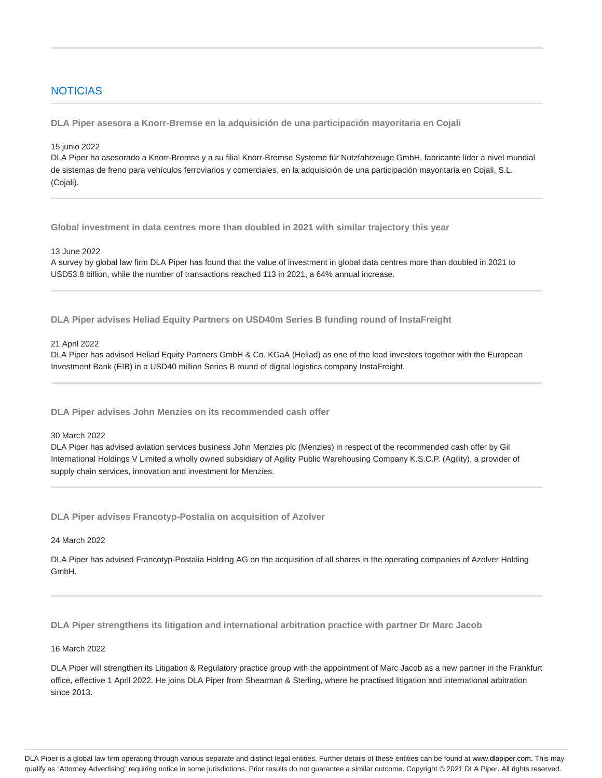## **NOTICIAS**

**DLA Piper asesora a Knorr-Bremse en la adquisición de una participación mayoritaria en Cojali**

## 15 junio 2022

DLA Piper ha asesorado a Knorr-Bremse y a su filial Knorr-Bremse Systeme für Nutzfahrzeuge GmbH, fabricante líder a nivel mundial de sistemas de freno para vehículos ferroviarios y comerciales, en la adquisición de una participación mayoritaria en Cojali, S.L. (Cojali).

**Global investment in data centres more than doubled in 2021 with similar trajectory this year**

13 June 2022

A survey by global law firm DLA Piper has found that the value of investment in global data centres more than doubled in 2021 to USD53.8 billion, while the number of transactions reached 113 in 2021, a 64% annual increase.

**DLA Piper advises Heliad Equity Partners on USD40m Series B funding round of InstaFreight**

## 21 April 2022

DLA Piper has advised Heliad Equity Partners GmbH & Co. KGaA (Heliad) as one of the lead investors together with the European Investment Bank (EIB) in a USD40 million Series B round of digital logistics company InstaFreight.

**DLA Piper advises John Menzies on its recommended cash offer**

## 30 March 2022

DLA Piper has advised aviation services business John Menzies plc (Menzies) in respect of the recommended cash offer by Gil International Holdings V Limited a wholly owned subsidiary of Agility Public Warehousing Company K.S.C.P. (Agility), a provider of supply chain services, innovation and investment for Menzies.

**DLA Piper advises Francotyp-Postalia on acquisition of Azolver**

## 24 March 2022

DLA Piper has advised Francotyp-Postalia Holding AG on the acquisition of all shares in the operating companies of Azolver Holding GmbH.

**DLA Piper strengthens its litigation and international arbitration practice with partner Dr Marc Jacob**

## 16 March 2022

DLA Piper will strengthen its Litigation & Regulatory practice group with the appointment of Marc Jacob as a new partner in the Frankfurt office, effective 1 April 2022. He joins DLA Piper from Shearman & Sterling, where he practised litigation and international arbitration since 2013.

DLA Piper is a global law firm operating through various separate and distinct legal entities. Further details of these entities can be found at www.dlapiper.com. This may qualify as "Attorney Advertising" requiring notice in some jurisdictions. Prior results do not guarantee a similar outcome. Copyright @ 2021 DLA Piper. All rights reserved.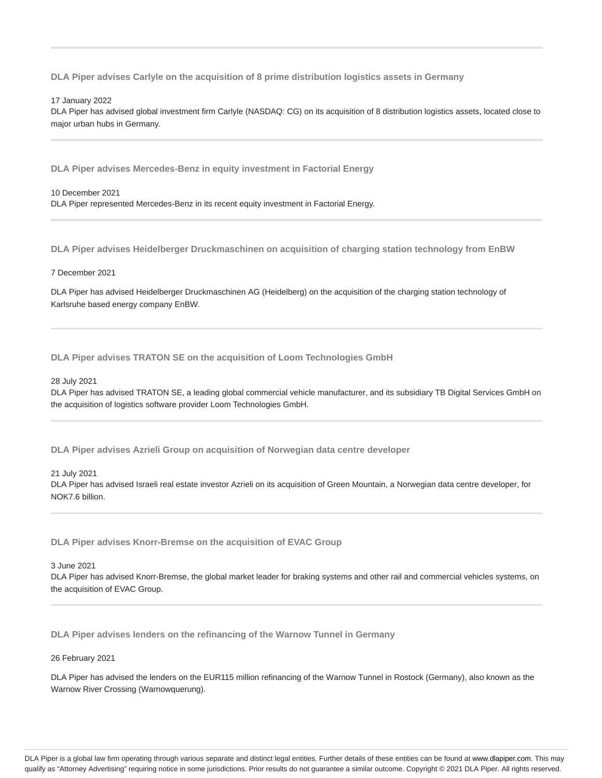**DLA Piper advises Carlyle on the acquisition of 8 prime distribution logistics assets in Germany**

## 17 January 2022

DLA Piper has advised global investment firm Carlyle (NASDAQ: CG) on its acquisition of 8 distribution logistics assets, located close to major urban hubs in Germany.

**DLA Piper advises Mercedes-Benz in equity investment in Factorial Energy**

## 10 December 2021 DLA Piper represented Mercedes-Benz in its recent equity investment in Factorial Energy.

**DLA Piper advises Heidelberger Druckmaschinen on acquisition of charging station technology from EnBW**

## 7 December 2021

DLA Piper has advised Heidelberger Druckmaschinen AG (Heidelberg) on the acquisition of the charging station technology of Karlsruhe based energy company EnBW.

## **DLA Piper advises TRATON SE on the acquisition of Loom Technologies GmbH**

## 28 July 2021

DLA Piper has advised TRATON SE, a leading global commercial vehicle manufacturer, and its subsidiary TB Digital Services GmbH on the acquisition of logistics software provider Loom Technologies GmbH.

**DLA Piper advises Azrieli Group on acquisition of Norwegian data centre developer**

21 July 2021

DLA Piper has advised Israeli real estate investor Azrieli on its acquisition of Green Mountain, a Norwegian data centre developer, for NOK7.6 billion.

**DLA Piper advises Knorr-Bremse on the acquisition of EVAC Group**

3 June 2021

DLA Piper has advised Knorr-Bremse, the global market leader for braking systems and other rail and commercial vehicles systems, on the acquisition of EVAC Group.

**DLA Piper advises lenders on the refinancing of the Warnow Tunnel in Germany**

#### 26 February 2021

DLA Piper has advised the lenders on the EUR115 million refinancing of the Warnow Tunnel in Rostock (Germany), also known as the Warnow River Crossing (Warnowquerung).